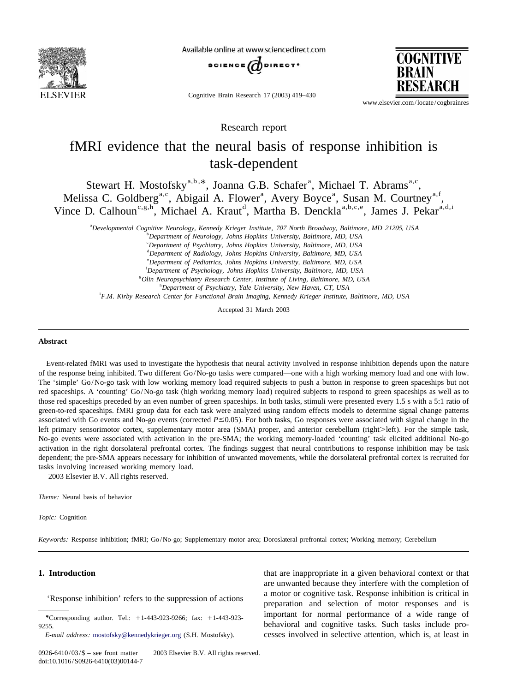

Available online at www.sciencedirect.com



Cognitive Brain Research 17 (2003) 419–430

**COGNITIVE** 

www.elsevier.com/locate/cogbrainres

Research report

## fMRI evidence that the neural basis of response inhibition is task-dependent

Stewart H. Mostofsky<sup>a,b,\*</sup>, Joanna G.B. Schafer<sup>a</sup>, Michael T. Abrams<sup>a,c</sup>, Melissa C. Goldberg<sup>a,c</sup>, Abigail A. Flower<sup>a</sup>, Avery Boyce<sup>a</sup>, Susan M. Courtney<sup>a,f</sup>, Vince D. Calhoun<sup>c,g,h</sup>, Michael A. Kraut<sup>d</sup>, Martha B. Denckla<sup>a,b,c,e</sup>, James J. Pekar<sup>a,d,i</sup>

a *Developmental Cognitive Neurology*, *Kennedy Krieger Institute*, <sup>707</sup> *North Broadway*, *Baltimore*, *MD* 21205, *USA*

b *Department of Neurology*, *Johns Hopkins University*, *Baltimore*, *MD*, *USA*

c *Department of Psychiatry*, *Johns Hopkins University*, *Baltimore*, *MD*, *USA*

d *Department of Radiology*, *Johns Hopkins University*, *Baltimore*, *MD*, *USA*

e *Department of Pediatrics*, *Johns Hopkins University*, *Baltimore*, *MD*, *USA*

f *Department of Psychology*, *Johns Hopkins University*, *Baltimore*, *MD*, *USA*

g *Olin Neuropsychiatry Research Center*, *Institute of Living*, *Baltimore*, *MD*, *USA*

h *Department of Psychiatry*, *Yale University*, *New Haven*, *CT*, *USA*

i *F*.*M*. *Kirby Research Center for Functional Brain Imaging*, *Kennedy Krieger Institute*, *Baltimore*, *MD*, *USA*

Accepted 31 March 2003

### **Abstract**

Event-related fMRI was used to investigate the hypothesis that neural activity involved in response inhibition depends upon the nature of the response being inhibited. Two different Go/No-go tasks were compared—one with a high working memory load and one with low. The 'simple' Go/No-go task with low working memory load required subjects to push a button in response to green spaceships but not red spaceships. A 'counting' Go/No-go task (high working memory load) required subjects to respond to green spaceships as well as to those red spaceships preceded by an even number of green spaceships. In both tasks, stimuli were presented every 1.5 s with a 5:1 ratio of green-to-red spaceships. fMRI group data for each task were analyzed using random effects models to determine signal change patterns associated with Go events and No-go events (corrected  $P \le 0.05$ ). For both tasks, Go responses were associated with signal change in the left primary sensorimotor cortex, supplementary motor area (SMA) proper, and anterior cerebellum (right>left). For the simple task, No-go events were associated with activation in the pre-SMA; the working memory-loaded 'counting' task elicited additional No-go activation in the right dorsolateral prefrontal cortex. The findings suggest that neural contributions to response inhibition may be task dependent; the pre-SMA appears necessary for inhibition of unwanted movements, while the dorsolateral prefrontal cortex is recruited for tasks involving increased working memory load. 2003 Elsevier B.V. All rights reserved.

*Theme*: Neural basis of behavior

*Topic*: Cognition

*Keywords*: Response inhibition; fMRI; Go/No-go; Supplementary motor area; Doroslateral prefrontal cortex; Working memory; Cerebellum

**1. Introduction** that are inappropriate in a given behavioral context or that are unwanted because they interfere with the completion of A motor or cognitive task. Response inhibition is critical in  $\frac{a \text{ motor or cognitive task}}{b \text{ preparation and selection of motor responses}}$  and is important for normal performance of a wide range of *\**Corresponding author. Tel.: <sup>1</sup>1-443-923-9266; fax: <sup>1</sup>1-443-923- 9255. behavioral and cognitive tasks. Such tasks include pro-*E*-*mail address*: [mostofsky@kennedykrieger.org](mailto:mostofsky@kennedykrieger.org) (S.H. Mostofsky). cesses involved in selective attention, which is, at least in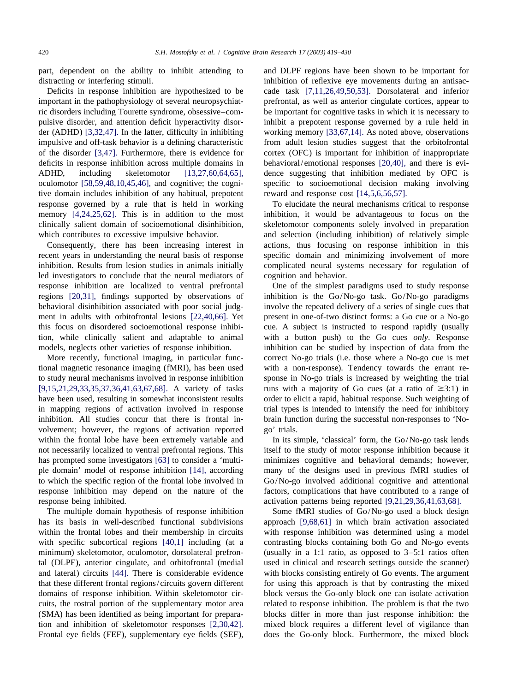distracting or interfering stimuli. This inhibition of reflexive eye movements during an antisac-

tive domain includes inhibition of any habitual, prepotent reward and response cost [\[14,5,6,56,57\].](#page-10-0) response governed by a rule that is held in working To elucidate the neural mechanisms critical to response

recent years in understanding the neural basis of response specific domain and minimizing involvement of more inhibition. Results from lesion studies in animals initially complicated neural systems necessary for regulation of led investigators to conclude that the neural mediators of cognition and behavior. response inhibition are localized to ventral prefrontal One of the simplest paradigms used to study response regions [\[20,31\],](#page-10-0) findings supported by observations of inhibition is the Go/No-go task. Go/No-go paradigms behavioral disinhibition associated with poor social judg- involve the repeated delivery of a series of single cues that ment in adults with orbitofrontal lesions [\[22,40,66\].](#page-10-0) Yet present in one-of-two distinct forms: a Go cue or a No-go this focus on disordered socioemotional response inhibi- cue. A subject is instructed to respond rapidly (usually tion, while clinically salient and adaptable to animal with a button push) to the Go cues *only*. Response models, neglects other varieties of response inhibition. inhibition can be studied by inspection of data from the

tional magnetic resonance imaging (fMRI), has been used with a non-response). Tendency towards the errant reto study neural mechanisms involved in response inhibition sponse in No-go trials is increased by weighting the trial [\[9,15,21,29,33,35,37,36,41,63,67,68\].](#page-10-0) A variety of tasks runs with a majority of Go cues (at a ratio of  $\geq$ 3:1) in have been used, resulting in somewhat inconsistent results order to elicit a rapid, habitual response. Such weighting of in mapping regions of activation involved in response trial types is intended to intensify the need for inhibitory inhibition. All studies concur that there is frontal in- brain function during the successful non-responses to 'Novolvement; however, the regions of activation reported go' trials. within the frontal lobe have been extremely variable and In its simple, 'classical' form, the Go/No-go task lends not necessarily localized to ventral prefrontal regions. This itself to the study of motor response inhibition because it has prompted some investigators [\[63\]](#page-11-0) to consider a 'multi- minimizes cognitive and behavioral demands; however, ple domain' model of response inhibition [\[14\],](#page-10-0) according many of the designs used in previous fMRI studies of to which the specific region of the frontal lobe involved in Go/No-go involved additional cognitive and attentional response inhibition may depend on the nature of the factors, complications that have contributed to a range of response being inhibited. activation patterns being reported [\[9,21,29,36,41,63,68\].](#page-10-0)

The multiple domain hypothesis of response inhibition Some fMRI studies of Go/No-go used a block design

part, dependent on the ability to inhibit attending to and DLPF regions have been shown to be important for Deficits in response inhibition are hypothesized to be cade task [\[7,11,26,49,50,53\].](#page-10-0) Dorsolateral and inferior important in the pathophysiology of several neuropsychiat- prefrontal, as well as anterior cingulate cortices, appear to ric disorders including Tourette syndrome, obsessive–com- be important for cognitive tasks in which it is necessary to pulsive disorder, and attention deficit hyperactivity disor- inhibit a prepotent response governed by a rule held in der (ADHD) [\[3,32,47\].](#page-10-0) In the latter, difficulty in inhibiting working memory [\[33,67,14\].](#page-11-0) As noted above, observations impulsive and off-task behavior is a defining characteristic from adult lesion studies suggest that the orbitofrontal of the disorder [\[3,47\].](#page-10-0) Furthermore, there is evidence for cortex (OFC) is important for inhibition of inappropriate deficits in response inhibition across multiple domains in behavioral/emotional responses [\[20,40\],](#page-10-0) and there is evi-ADHD, including skeletomotor [\[13,27,60,64,65\],](#page-10-0) dence suggesting that inhibition mediated by OFC is oculomotor [\[58,59,48,10,45,46\],](#page-11-0) and cognitive; the cogni- specific to socioemotional decision making involving

memory [\[4,24,25,62\].](#page-10-0) This is in addition to the most inhibition, it would be advantageous to focus on the clinically salient domain of socioemotional disinhibition, skeletomotor components solely involved in preparation which contributes to excessive impulsive behavior. and selection (including inhibition) of relatively simple Consequently, there has been increasing interest in actions, thus focusing on response inhibition in this

More recently, functional imaging, in particular func- correct No-go trials (i.e. those where a No-go cue is met

has its basis in well-described functional subdivisions approach [\[9,68,61\]](#page-10-0) in which brain activation associated within the frontal lobes and their membership in circuits with response inhibition was determined using a model with specific subcortical regions [\[40,1\]](#page-11-0) including (at a contrasting blocks containing both Go and No-go events minimum) skeletomotor, oculomotor, dorsolateral prefron- (usually in a 1:1 ratio, as opposed to 3–5:1 ratios often tal (DLPF), anterior cingulate, and orbitofrontal (medial used in clinical and research settings outside the scanner) and lateral) circuits [\[44\].](#page-11-0) There is considerable evidence with blocks consisting entirely of Go events. The argument that these different frontal regions/circuits govern different for using this approach is that by contrasting the mixed domains of response inhibition. Within skeletomotor cir- block versus the Go-only block one can isolate activation cuits, the rostral portion of the supplementary motor area related to response inhibition. The problem is that the two (SMA) has been identified as being important for prepara- blocks differ in more than just response inhibition: the tion and inhibition of skeletomotor responses [\[2,30,42\].](#page-10-0) mixed block requires a different level of vigilance than Frontal eye fields (FEF), supplementary eye fields (SEF), does the Go-only block. Furthermore, the mixed block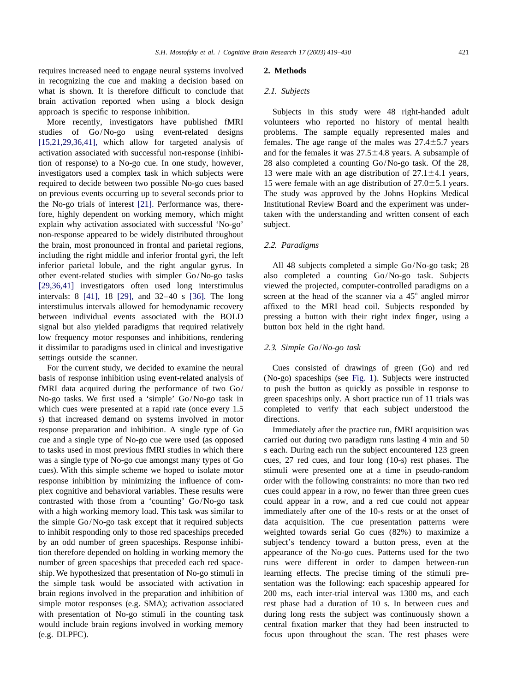requires increased need to engage neural systems involved **2. Methods** in recognizing the cue and making a decision based on what is shown. It is therefore difficult to conclude that 2.1. Subjects brain activation reported when using a block design approach is specific to response inhibition. Subjects in this study were 48 right-handed adult

studies of Go/No-go using event-related designs problems. The sample equally represented males and  $[15,21,29,36,41]$ , which allow for targeted analysis of females. The age range of the males was  $27.4\pm5.7$  years activation associated with successful non-response (inhibi- and for the females it was  $27.5\pm4.8$  years. A subsample of tion of response) to a No-go cue. In one study, however, 28 also completed a counting Go/No-go task. Of the 28, investigators used a complex task in which subjects were 13 were male with an age distribution of  $27.1 \pm 4.1$  years, required to decide between two possible No-go cues based 15 were female with an age distribution of  $27.0 \pm 5.1$  years. on previous events occurring up to several seconds prior to The study was approved by the Johns Hopkins Medical the No-go trials of interest [\[21\].](#page-10-0) Performance was, there- Institutional Review Board and the experiment was underfore, highly dependent on working memory, which might taken with the understanding and written consent of each explain why activation associated with successful 'No-go' subject. non-response appeared to be widely distributed throughout the brain, most pronounced in frontal and parietal regions, 2 .2. *Paradigms* including the right middle and inferior frontal gyri, the left inferior parietal lobule, and the right angular gyrus. In All 48 subjects completed a simple Go/No-go task; 28 other event-related studies with simpler Go/No-go tasks also completed a counting Go/No-go task. Subjects [\[29,36,41\]](#page-10-0) investigators often used long interstimulus viewed the projected, computer-controlled paradigms on a intervals: 8 [\[41\],](#page-11-0) 18 [\[29\],](#page-10-0) and  $32-40$  s [\[36\].](#page-11-0) The long screen at the head of the scanner via a  $45^\circ$  angled mirror interstimulus intervals allowed for hemodynamic recovery affixed to the MRI head coil. Subjects responded by between individual events associated with the BOLD pressing a button with their right index finger, using a signal but also yielded paradigms that required relatively button box held in the right hand. low frequency motor responses and inhibitions, rendering it dissimilar to paradigms used in clinical and investigative 2 .3. *Simple Go*/*No*-*go task* settings outside the scanner.

For the current study, we decided to examine the neural Cues consisted of drawings of green (Go) and red basis of response inhibition using event-related analysis of (No-go) spaceships (see [Fig. 1](#page-3-0)). Subjects were instructed fMRI data acquired during the performance of two Go/ to push the button as quickly as possible in response to No-go tasks. We first used a 'simple' Go/No-go task in green spaceships only. A short practice run of 11 trials was which cues were presented at a rapid rate (once every 1.5 completed to verify that each subject understood the s) that increased demand on systems involved in motor directions. response preparation and inhibition. A single type of Go Immediately after the practice run, fMRI acquisition was cue and a single type of No-go cue were used (as opposed carried out during two paradigm runs lasting 4 min and 50 to tasks used in most previous fMRI studies in which there s each. During each run the subject encountered 123 green was a single type of No-go cue amongst many types of Go cues, 27 red cues, and four long (10-s) rest phases. The cues). With this simple scheme we hoped to isolate motor stimuli were presented one at a time in pseudo-random response inhibition by minimizing the influence of com- order with the following constraints: no more than two red plex cognitive and behavioral variables. These results were cues could appear in a row, no fewer than three green cues contrasted with those from a 'counting' Go/No-go task could appear in a row, and a red cue could not appear with a high working memory load. This task was similar to immediately after one of the 10-s rests or at the onset of the simple Go/No-go task except that it required subjects data acquisition. The cue presentation patterns were to inhibit responding only to those red spaceships preceded weighted towards serial Go cues (82%) to maximize a by an odd number of green spaceships. Response inhibi- subject's tendency toward a button press, even at the tion therefore depended on holding in working memory the appearance of the No-go cues. Patterns used for the two number of green spaceships that preceded each red space- runs were different in order to dampen between-run ship. We hypothesized that presentation of No-go stimuli in learning effects. The precise timing of the stimuli prethe simple task would be associated with activation in sentation was the following: each spaceship appeared for brain regions involved in the preparation and inhibition of 200 ms, each inter-trial interval was 1300 ms, and each simple motor responses (e.g. SMA); activation associated rest phase had a duration of 10 s. In between cues and with presentation of No-go stimuli in the counting task during long rests the subject was continuously shown a would include brain regions involved in working memory central fixation marker that they had been instructed to (e.g. DLPFC). focus upon throughout the scan. The rest phases were

More recently, investigators have published fMRI volunteers who reported no history of mental health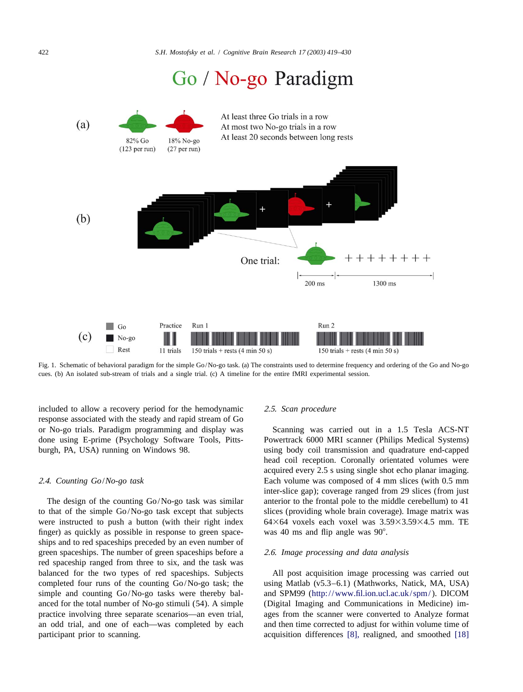# Go / No-go Paradigm

<span id="page-3-0"></span>

Fig. 1. Schematic of behavioral paradigm for the simple Go/No-go task. (a) The constraints used to determine frequency and ordering of the Go and No-go cues. (b) An isolated sub-stream of trials and a single trial. (c) A timeline for the entire fMRI experimental session.

included to allow a recovery period for the hemodynamic 2 .5. *Scan procedure* response associated with the steady and rapid stream of Go or No-go trials. Paradigm programming and display was Scanning was carried out in a 1.5 Tesla ACS-NT done using E-prime (Psychology Software Tools, Pitts- Powertrack 6000 MRI scanner (Philips Medical Systems) burgh, PA, USA) running on Windows 98. using body coil transmission and quadrature end-capped

to that of the simple Go/No-go task except that subjects slices (providing whole brain coverage). Image matrix was were instructed to push a button (with their right index  $64\times64\times64$  voxels each voxel was  $3.59\times3.59\times4.5$  mm. TE finger) as quickly as possible in response to green space- was 40 ms and flip angle was  $90^\circ$ . ships and to red spaceships preceded by an even number of green spaceships. The number of green spaceships before a 2 .6. *Image processing and data analysis* red spaceship ranged from three to six, and the task was balanced for the two types of red spaceships. Subjects All post acquisition image processing was carried out completed four runs of the counting Go/No-go task; the using Matlab (v5.3–6.1) (Mathworks, Natick, MA, USA) simple and counting Go/No-go tasks were thereby bal- and SPM99 (<http://www.fil.ion.ucl.ac.uk/spm/>). DICOM anced for the total number of No-go stimuli (54). A simple (Digital Imaging and Communications in Medicine) impractice involving three separate scenarios—an even trial, ages from the scanner were converted to Analyze format an odd trial, and one of each—was completed by each and then time corrected to adjust for within volume time of participant prior to scanning. The acquisition differences [\[8\],](#page-10-0) realigned, and smoothed [\[18\]](#page-10-0)

head coil reception. Coronally orientated volumes were acquired every 2.5 s using single shot echo planar imaging. 2 .4. *Counting Go*/*No*-*go task* Each volume was composed of 4 mm slices (with 0.5 mm inter-slice gap); coverage ranged from 29 slices (from just The design of the counting Go/No-go task was similar anterior to the frontal pole to the middle cerebellum) to 41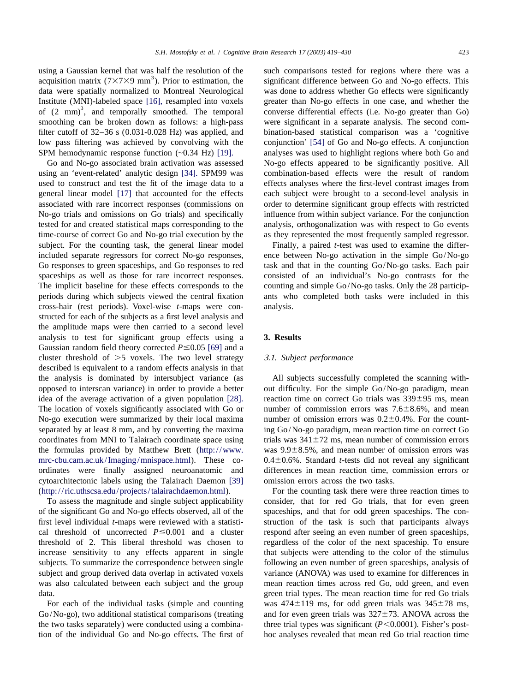using a Gaussian kernel that was half the resolution of the such comparisons tested for regions where there was a acquisition matrix  $(7 \times 7 \times 9 \text{ mm}^3)$ . Prior to estimation, the significant difference between Go and No-

subject. For the counting task, the general linear model Finally, a paired *t*-test was used to examine the differcross-hair (rest periods). Voxel-wise *t*-maps were con- analysis. structed for each of the subjects as a first level analysis and the amplitude maps were then carried to a second level analysis to test for significant group effects using a **3. Results** Gaussian random field theory corrected  $P \le 0.05$  [\[69\]](#page-11-0) and a cluster threshold of .5 voxels. The two level strategy 3 .1. *Subject performance* described is equivalent to a random effects analysis in that cytoarchitectonic labels using the Talairach Daemon [\[39\]](#page-11-0) omission errors across the two tasks. (<http://ric.uthscsa.edu/projects/talairachdaemon.html>). For the counting task there were three reaction times to

of the significant Go and No-go effects observed, all of the spaceships, and that for odd green spaceships. The confirst level individual *t*-maps were reviewed with a statisti- struction of the task is such that participants always cal threshold of uncorrected  $P \le 0.001$  and a cluster respond after seeing an even number of green spaceships, threshold of 2. This liberal threshold was chosen to regardless of the color of the next spaceship. To ensure increase sensitivity to any effects apparent in single that subjects were attending to the color of the stimulus subjects. To summarize the correspondence between single following an even number of green spaceships, analysis of subject and group derived data overlap in activated voxels variance (ANOVA) was used to examine for differences in was also calculated between each subject and the group mean reaction times across red Go, odd green, and even data. green trial types. The mean reaction time for red Go trials

data were spatially normalized to Montreal Neurological was done to address whether Go effects were significantly Institute (MNI)-labeled space [\[16\],](#page-10-0) resampled into voxels greater than No-go effects in one case, and whether the  $\sigma$  of (2 mm)<sup>3</sup>, and temporally smoothed. The temporal converse differential effects (i.e. No-go greater smoothing can be broken down as follows: a high-pass were significant in a separate analysis. The second comfilter cutoff of 32–36 s (0.031-0.028 Hz) was applied, and bination-based statistical comparison was a 'cognitive low pass filtering was achieved by convolving with the conjunction' [\[54\]](#page-11-0) of Go and No-go effects. A conjunction SPM hemodynamic response function  $(\sim 0.34 \text{ Hz})$  [\[19\].](#page-10-0) analyses was used to highlight regions where both Go and Go and No-go associated brain activation was assessed No-go effects appeared to be significantly positive. All using an 'event-related' analytic design [\[34\].](#page-11-0) SPM99 was combination-based effects were the result of random used to construct and test the fit of the image data to a effects analyses where the first-level contrast images from general linear model [\[17\]](#page-10-0) that accounted for the effects each subject were brought to a second-level analysis in associated with rare incorrect responses (commissions on order to determine significant group effects with restricted No-go trials and omissions on Go trials) and specifically influence from within subject variance. For the conjunction tested for and created statistical maps corresponding to the analysis, orthogonalization was with respect to Go events time-course of correct Go and No-go trial execution by the as they represented the most frequently sampled regressor.

included separate regressors for correct No-go responses, ence between No-go activation in the simple Go/No-go Go responses to green spaceships, and Go responses to red task and that in the counting Go/No-go tasks. Each pair spaceships as well as those for rare incorrect responses. consisted of an individual's No-go contrasts for the The implicit baseline for these effects corresponds to the counting and simple Go/No-go tasks. Only the 28 participperiods during which subjects viewed the central fixation ants who completed both tasks were included in this

the analysis is dominated by intersubject variance (as All subjects successfully completed the scanning withopposed to interscan variance) in order to provide a better out difficulty. For the simple Go/No-go paradigm, mean idea of the average activation of a given population [\[28\].](#page-10-0) reaction time on correct Go trials was  $339\pm95$  ms, mean The location of voxels significantly associated with Go or number of commission errors was  $7.6\pm8.6\%$ , and mean No-go execution were summarized by their local maxima number of omission errors was  $0.2\pm0.4\%$ . For the countseparated by at least 8 mm, and by converting the maxima ing Go/No-go paradigm, mean reaction time on correct Go coordinates from MNI to Talairach coordinate space using trials was  $341\pm72$  ms, mean number of commission errors the formulas provided by Matthew Brett ([http://www.](http://www.mrc-cbu.cam.ac.uk/Imaging/mnispace.html) was  $9.9\pm8.5\%$ , and mean number of omission errors was [mrc-cbu.cam.ac.uk/Imaging/mnispace.html](http://www.mrc-cbu.cam.ac.uk/Imaging/mnispace.html)). These co- 0.4±0.6%. Standard *t*-tests did not reveal any significant ordinates were finally assigned neuroanatomic and differences in mean reaction time, commission errors or

To assess the magnitude and single subject applicability consider, that for red Go trials, that for even green For each of the individual tasks (simple and counting was  $474 \pm 119$  ms, for odd green trials was  $345 \pm 78$  ms,  $Go/No-go)$ , two additional statistical comparisons (treating and for even green trials was  $327\pm73$ . ANOVA across the the two tasks separately) were conducted using a combina-<br>three trial types was significant (*P*<0.0001). Fisher's posttion of the individual Go and No-go effects. The first of hoc analyses revealed that mean red Go trial reaction time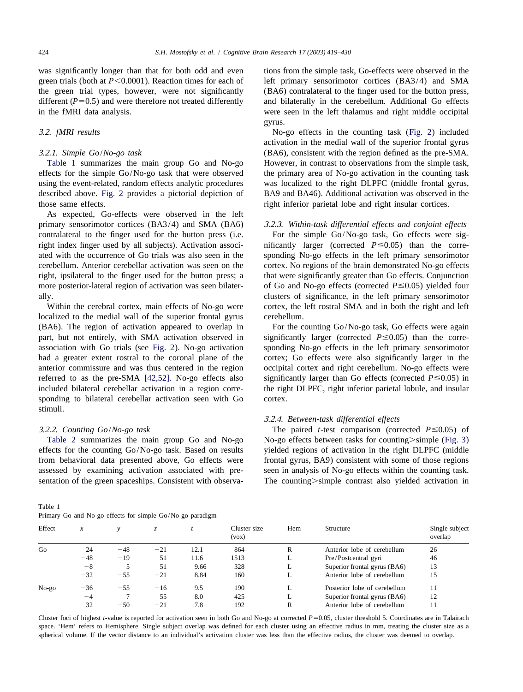<span id="page-5-0"></span>was significantly longer than that for both odd and even tions from the simple task, Go-effects were observed in the

effects for the simple Go/No-go task that were observed the primary area of No-go activation in the counting task using the event-related, random effects analytic procedures was localized to the right DLPFC (middle frontal gyrus, described above. [Fig. 2](#page-6-0) provides a pictorial depiction of BA9 and BA46). Additional activation was observed in the those same effects. The right inferior parietal lobe and right insular cortices.

As expected, Go-effects were observed in the left primary sensorimotor cortices (BA3/4) and SMA (BA6) 3 .2.3. *Within*-*task differential effects and conjoint effects* contralateral to the finger used for the button press (i.e. For the simple Go/No-go task, Go effects were sigright index finger used by all subjects). Activation associ- nificantly larger (corrected  $P \le 0.05$ ) than the correated with the occurrence of Go trials was also seen in the sponding No-go effects in the left primary sensorimotor cerebellum. Anterior cerebellar activation was seen on the cortex. No regions of the brain demonstrated No-go effects right, ipsilateral to the finger used for the button press; a that were significantly greater than Go effects. Conjunction more posterior-lateral region of activation was seen bilater- of Go and No-go effects (corrected  $P \le 0.05$ ) yielded four ally. clusters of significance, in the left primary sensorimotor

localized to the medial wall of the superior frontal gyrus cerebellum. (BA6). The region of activation appeared to overlap in For the counting Go/No-go task, Go effects were again part, but not entirely, with SMA activation observed in significantly larger (corrected  $P \le 0.05$ ) than the correassociation with Go trials (see [Fig. 2](#page-6-0)). No-go activation sponding No-go effects in the left primary sensorimotor had a greater extent rostral to the coronal plane of the cortex; Go effects were also significantly larger in the anterior commissure and was thus centered in the region occipital cortex and right cerebellum. No-go effects were referred to as the pre-SMA [\[42,52\].](#page-11-0) No-go effects also significantly larger than Go effects (corrected  $P \le 0.05$ ) in included bilateral cerebellar activation in a region corre- the right DLPFC, right inferior parietal lobule, and insular sponding to bilateral cerebellar activation seen with Go cortex. stimuli.

effects for the counting Go/No-go task. Based on results yielded regions of activation in the right DLPFC (middle from behavioral data presented above, Go effects were frontal gyrus, BA9) consistent with some of those regions assessed by examining activation associated with pre- seen in analysis of No-go effects within the counting task. sentation of the green spaceships. Consistent with observa-<br>The counting>simple contrast also yielded activation in

Table 1 Primary Go and No-go effects for simple Go/No-go paradigm

green trials (both at  $P \le 0.0001$ ). Reaction times for each of left primary sensorimotor cortices (BA3/4) and SMA the green trial types, however, were not significantly (BA6) contralateral to the finger used for the button press, different  $(P=0.5)$  and were therefore not treated differently and bilaterally in the cerebellum. Additional Go effects in the fMRI data analysis. were seen in the left thalamus and right middle occipital gyrus.

3 .2. *fMRI results* No-go effects in the counting task ([Fig. 2](#page-6-0)) included activation in the medial wall of the superior frontal gyrus 3 .2.1. *Simple Go*/*No*-*go task* (BA6), consistent with the region defined as the pre-SMA. Table 1 summarizes the main group Go and No-go However, in contrast to observations from the simple task,

Within the cerebral cortex, main effects of No-go were cortex, the left rostral SMA and in both the right and left

## 3 .2.4. *Between*-*task differential effects*

3.2.2. *Counting Go/No-go task* The paired *t*-test comparison (corrected  $P \le 0.05$ ) of [Table](#page-7-0) [2](#page-7-0) summarizes the main group Go and No-go No-go effects between tasks for counting > simple ([Fig. 3](#page-7-0))

| Thinking to and two go criters for simple Go/Two go paradigm |                  |       |          |      |                       |     |                              |                           |
|--------------------------------------------------------------|------------------|-------|----------|------|-----------------------|-----|------------------------------|---------------------------|
| Effect                                                       | $\boldsymbol{x}$ |       | Z.       |      | Cluster size<br>(vox) | Hem | Structure                    | Single subject<br>overlap |
| Go                                                           | 24               | $-48$ | $-21$    | 12.1 | 864                   | R   | Anterior lobe of cerebellum  | 26                        |
|                                                              | $-48$            | $-19$ | 51       | 11.6 | 1513                  | ┻   | Pre/Postcentral gyri         | 46                        |
|                                                              | $-8$             |       | 51       | 9.66 | 328                   | ┻   | Superior frontal gyrus (BA6) | 13                        |
|                                                              | $-32$            | $-55$ | $^{-21}$ | 8.84 | 160                   | L   | Anterior lobe of cerebellum  | 15                        |
| $No-go$                                                      | $-36$            | $-55$ | $-16$    | 9.5  | 190                   | L.  | Posterior lobe of cerebellum | 11                        |
|                                                              | $-4$             |       | 55       | 8.0  | 425                   | L   | Superior frontal gyrus (BA6) | 12                        |
|                                                              | 32               | $-50$ | $-21$    | 7.8  | 192                   | R   | Anterior lobe of cerebellum  | 11                        |
|                                                              |                  |       |          |      |                       |     |                              |                           |

Cluster foci of highest *t*-value is reported for activation seen in both Go and No-go at corrected  $P=0.05$ , cluster threshold 5. Coordinates are in Talairach space. 'Hem' refers to Hemisphere. Single subject overlap was defined for each cluster using an effective radius in mm, treating the cluster size as a spherical volume. If the vector distance to an individual's activation cluster was less than the effective radius, the cluster was deemed to overlap.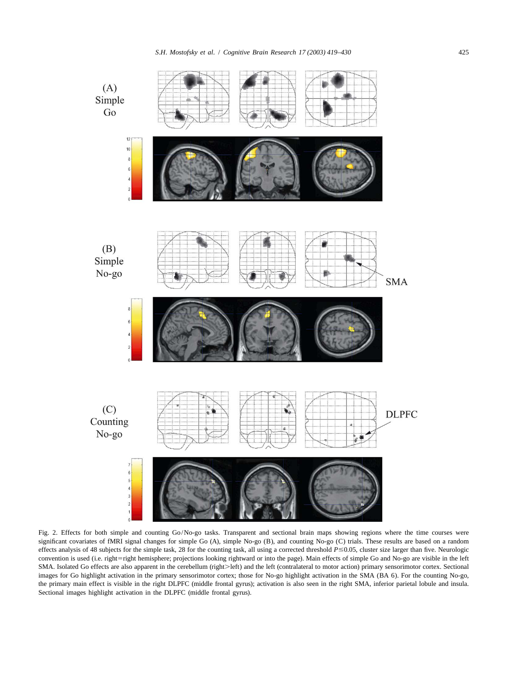<span id="page-6-0"></span>

Fig. 2. Effects for both simple and counting Go/No-go tasks. Transparent and sectional brain maps showing regions where the time courses were significant covariates of fMRI signal changes for simple Go (A), simple No-go (B), and counting No-go (C) trials. These results are based on a random effects analysis of 48 subjects for the simple task, 28 for the counting task, all using a corrected threshold *P* ≤0.05, cluster size larger than five. Neurologic convention is used (i.e. right=right hemisphere; projections looking rightward or into the page). Main effects of simple Go and No-go are visible in the left SMA. Isolated Go effects are also apparent in the cerebellum (right>left) and the left (contralateral to motor action) primary sensorimotor cortex. Sectional images for Go highlight activation in the primary sensorimotor cortex; those for No-go highlight activation in the SMA (BA 6). For the counting No-go, the primary main effect is visible in the right DLPFC (middle frontal gyrus); activation is also seen in the right SMA, inferior parietal lobule and insula. Sectional images highlight activation in the DLPFC (middle frontal gyrus).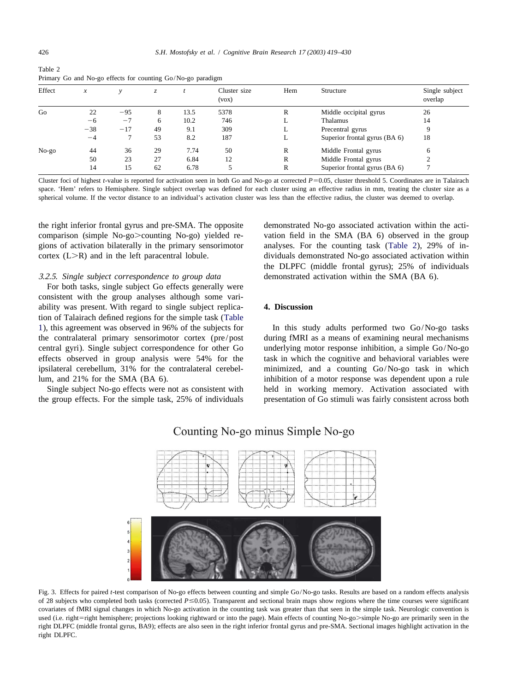<span id="page-7-0"></span>

| Table 2                                                     |  |
|-------------------------------------------------------------|--|
| Primary Go and No-go effects for counting Go/No-go paradigm |  |

| Effect  | $\boldsymbol{x}$ |       | Z. |      | Cluster size<br>(vox) | Hem | Structure                     | Single subject<br>overlap |
|---------|------------------|-------|----|------|-----------------------|-----|-------------------------------|---------------------------|
| Go      | 22               | $-95$ | 8  | 13.5 | 5378                  | R   | Middle occipital gyrus        | 26                        |
|         | $-6$             | $-7$  | 6  | 10.2 | 746                   | ∸   | Thalamus                      | 14                        |
|         | $-38$            | $-17$ | 49 | 9.1  | 309                   | ⊷   | Precentral gyrus              | 9                         |
|         | $-4$             |       | 53 | 8.2  | 187                   | ≖   | Superior frontal gyrus (BA 6) | 18                        |
| $No-go$ | 44               | 36    | 29 | 7.74 | 50                    | R   | Middle Frontal gyrus          | 6                         |
|         | 50               | 23    | 27 | 6.84 | 12                    | R   | Middle Frontal gyrus          | $\Omega$                  |
|         | 14               | 15    | 62 | 6.78 |                       | R   | Superior frontal gyrus (BA 6) |                           |

Cluster foci of highest *t*-value is reported for activation seen in both Go and No-go at corrected  $P=0.05$ , cluster threshold 5. Coordinates are in Talairach space. 'Hem' refers to Hemisphere. Single subject overlap was defined for each cluster using an effective radius in mm, treating the cluster size as a spherical volume. If the vector distance to an individual's activation cluster was less than the effective radius, the cluster was deemed to overlap.

the right inferior frontal gyrus and pre-SMA. The opposite demonstrated No-go associated activation within the acticomparison (simple No-go.>counting No-go) yielded re- vation field in the SMA (BA 6) observed in the group gions of activation bilaterally in the primary sensorimotor analyses. For the counting task (Table 2), 29% of in- $\text{cortex } (L > R)$  and in the left paracentral lobule. dividuals demonstrated No-go associated activation within

For both tasks, single subject Go effects generally were consistent with the group analyses although some variability was present. With regard to single subject replica- **4. Discussion** tion of Talairach defined regions for the simple task ([Table](#page-5-0)

the DLPFC (middle frontal gyrus); 25% of individuals 3 .2.5. *Single subject correspondence to group data* demonstrated activation within the SMA (BA 6).

[1](#page-5-0)), this agreement was observed in 96% of the subjects for In this study adults performed two Go/No-go tasks the contralateral primary sensorimotor cortex (pre/post during fMRI as a means of examining neural mechanisms central gyri). Single subject correspondence for other Go underlying motor response inhibition, a simple Go/No-go effects observed in group analysis were 54% for the task in which the cognitive and behavioral variables were ipsilateral cerebellum, 31% for the contralateral cerebel- minimized, and a counting Go/No-go task in which lum, and 21% for the SMA (BA 6). inhibition of a motor response was dependent upon a rule Single subject No-go effects were not as consistent with held in working memory. Activation associated with the group effects. For the simple task, 25% of individuals presentation of Go stimuli was fairly consistent across both



## Counting No-go minus Simple No-go

Fig. 3. Effects for paired *t*-test comparison of No-go effects between counting and simple Go/No-go tasks. Results are based on a random effects analysis of 28 subjects who completed both tasks (corrected *P* ≤0.05). Transparent and sectional brain maps show regions where the time courses were significant covariates of fMRI signal changes in which No-go activation in the counting task was greater than that seen in the simple task. Neurologic convention is used (i.e. right=right hemisphere; projections looking rightward or into the page). Main effects of counting No-go>simple No-go are primarily seen in the right DLPFC (middle frontal gyrus, BA9); effects are also seen in the right inferior frontal gyrus and pre-SMA. Sectional images highlight activation in the right DLPFC.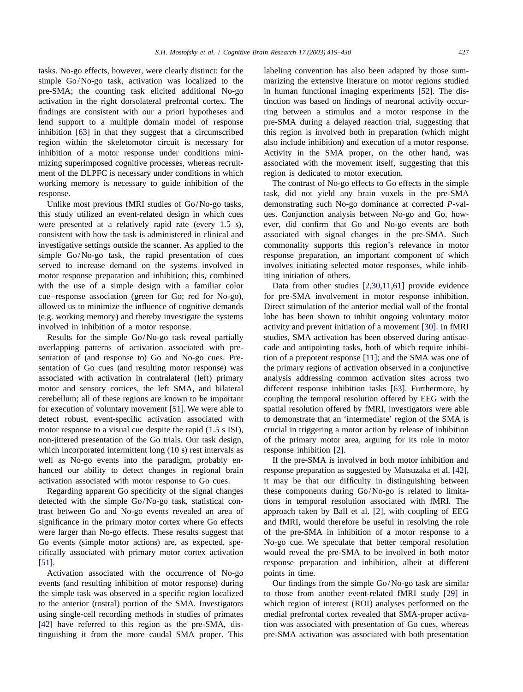tasks. No-go effects, however, were clearly distinct: for the labeling convention has also been adapted by those sumsimple Go/No-go task, activation was localized to the marizing the extensive literature on motor regions studied pre-SMA; the counting task elicited additional No-go in human functional imaging experiments [\[52\].](#page-11-0) The disactivation in the right dorsolateral prefrontal cortex. The tinction was based on findings of neuronal activity occurfindings are consistent with our a priori hypotheses and ring between a stimulus and a motor response in the lend support to a multiple domain model of response pre-SMA during a delayed reaction trial, suggesting that inhibition [\[63\]](#page-11-0) in that they suggest that a circumscribed this region is involved both in preparation (which might region within the skeletomotor circuit is necessary for also include inhibition) and execution of a motor response. inhibition of a motor response under conditions mini- Activity in the SMA proper, on the other hand, was mizing superimposed cognitive processes, whereas recruit-<br>associated with the movement itself, suggesting that this ment of the DLPFC is necessary under conditions in which region is dedicated to motor execution. working memory is necessary to guide inhibition of the The contrast of No-go effects to Go effects in the simple response. task, did not yield any brain voxels in the pre-SMA

this study utilized an event-related design in which cues ues. Conjunction analysis between No-go and Go, howwere presented at a relatively rapid rate (every 1.5 s), ever, did confirm that Go and No-go events are both consistent with how the task is administered in clinical and associated with signal changes in the pre-SMA. Such investigative settings outside the scanner. As applied to the commonality supports this region's relevance in motor simple Go/No-go task, the rapid presentation of cues response preparation, an important component of which served to increase demand on the systems involved in involves initiating selected motor responses, while inhibmotor response preparation and inhibition; this, combined iting initiation of others. with the use of a simple design with a familiar color Data from other studies [\[2,30,11,61\]](#page-10-0) provide evidence cue–response association (green for Go; red for No-go), for pre-SMA involvement in motor response inhibition. allowed us to minimize the influence of cognitive demands Direct stimulation of the anterior medial wall of the frontal (e.g. working memory) and thereby investigate the systems lobe has been shown to inhibit ongoing voluntary motor involved in inhibition of a motor response. activity and prevent initiation of a movement [\[30\].](#page-10-0) In fMRI

overlapping patterns of activation associated with pre- cade and antipointing tasks, both of which require inhibi-sentation of (and response to) Go and No-go cues. Pre-<br>tion of a prepotent response [\[11\];](#page-10-0) and the SMA was one of sentation of Go cues (and resulting motor response) was the primary regions of activation observed in a conjunctive associated with activation in contralateral (left) primary analysis addressing common activation sites across two motor and sensory cortices, the left SMA, and bilateral different response inhibition tasks [\[63\].](#page-11-0) Furthermore, by cerebellum; all of these regions are known to be important coupling the temporal resolution offered by EEG with the for execution of voluntary movement [\[51\].](#page-11-0) We were able to spatial resolution offered by fMRI, investigators were able detect robust, event-specific activation associated with to demonstrate that an 'intermediate' region of the SMA is motor response to a visual cue despite the rapid (1.5 s ISI), crucial in triggering a motor action by release of inhibition non-jittered presentation of the Go trials. Our task design, of the primary motor area, arguing for its role in motor which incorporated intermittent long (10 s) rest intervals as response inhibition [\[2\].](#page-10-0) well as No-go events into the paradigm, probably en-<br>If the pre-SMA is involved in both motor inhibition and hanced our ability to detect changes in regional brain response preparation as suggested by Matsuzaka et al. [\[42\],](#page-11-0) activation associated with motor response to Go cues. it may be that our difficulty in distinguishing between

detected with the simple Go/No-go task, statistical con-<br>tions in temporal resolution associated with fMRI. The trast between Go and No-go events revealed an area of approach taken by Ball et al. [\[2\],](#page-10-0) with coupling of EEG significance in the primary motor cortex where Go effects and fMRI, would therefore be useful in resolving the role were larger than No-go effects. These results suggest that of the pre-SMA in inhibition of a motor response to a Go events (simple motor actions) are, as expected, spe-<br>No-go cue. We speculate that better temporal resolution cifically associated with primary motor cortex activation would reveal the pre-SMA to be involved in both motor [\[51\].](#page-11-0) response preparation and inhibition, albeit at different

Activation associated with the occurrence of No-go points in time. events (and resulting inhibition of motor response) during Our findings from the simple Go/No-go task are similar the simple task was observed in a specific region localized to those from another event-related fMRI study [\[29\]](#page-10-0) in to the anterior (rostral) portion of the SMA. Investigators which region of interest (ROI) analyses performed on the using single-cell recording methods in studies of primates medial prefrontal cortex revealed that SMA-proper activa- [\[42\]](#page-11-0) have referred to this region as the pre-SMA, dis-<br>tion was associated with presentation of Go cues, whereas tinguishing it from the more caudal SMA proper. This pre-SMA activation was associated with both presentation

Unlike most previous fMRI studies of Go/No-go tasks, demonstrating such No-go dominance at corrected *P*-val-

Results for the simple Go/No-go task reveal partially studies, SMA activation has been observed during antisac-

Regarding apparent Go specificity of the signal changes these components during Go/No-go is related to limita-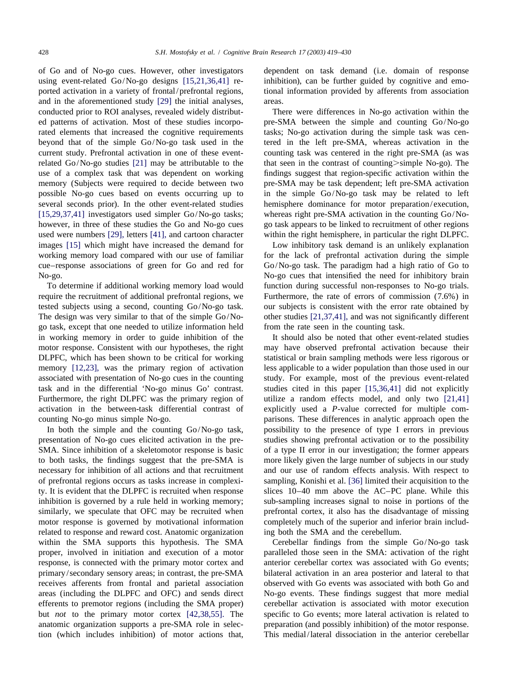of Go and of No-go cues. However, other investigators dependent on task demand (i.e. domain of response using event-related Go/No-go designs [\[15,21,36,41\]](#page-10-0) re- inhibition), can be further guided by cognitive and emoported activation in a variety of frontal/prefrontal regions, tional information provided by afferents from association and in the aforementioned study [\[29\]](#page-10-0) the initial analyses, areas. conducted prior to ROI analyses, revealed widely distribut- There were differences in No-go activation within the ed patterns of activation. Most of these studies incorpo- pre-SMA between the simple and counting Go/No-go rated elements that increased the cognitive requirements tasks; No-go activation during the simple task was cenbeyond that of the simple Go/No-go task used in the tered in the left pre-SMA, whereas activation in the current study. Prefrontal activation in one of these event- counting task was centered in the right pre-SMA (as was related Go/No-go studies [\[21\]](#page-10-0) may be attributable to the that seen in the contrast of counting $>$ simple No-go). The use of a complex task that was dependent on working findings suggest that region-specific activation within the memory (Subjects were required to decide between two pre-SMA may be task dependent; left pre-SMA activation possible No-go cues based on events occurring up to in the simple Go/No-go task may be related to left several seconds prior). In the other event-related studies hemisphere dominance for motor preparation/execution, [\[15,29,37,41\]](#page-10-0) investigators used simpler Go/No-go tasks; whereas right pre-SMA activation in the counting Go/Nohowever, in three of these studies the Go and No-go cues go task appears to be linked to recruitment of other regions used were numbers [\[29\],](#page-10-0) letters [\[41\],](#page-11-0) and cartoon character within the right hemisphere, in particular the right DLPFC. images [\[15\]](#page-10-0) which might have increased the demand for Low inhibitory task demand is an unlikely explanation working memory load compared with our use of familiar for the lack of prefrontal activation during the simple cue–response associations of green for Go and red for Go/No-go task. The paradigm had a high ratio of Go to No-go. No-go cues that intensified the need for inhibitory brain

require the recruitment of additional prefrontal regions, we Furthermore, the rate of errors of commission (7.6%) in tested subjects using a second, counting Go/No-go task. our subjects is consistent with the error rate obtained by The design was very similar to that of the simple Go/No- other studies [\[21,37,41\],](#page-10-0) and was not significantly different go task, except that one needed to utilize information held from the rate seen in the counting task. in working memory in order to guide inhibition of the It should also be noted that other event-related studies motor response. Consistent with our hypotheses, the right may have observed prefrontal activation because their DLPFC, which has been shown to be critical for working statistical or brain sampling methods were less rigorous or memory [\[12,23\],](#page-10-0) was the primary region of activation less applicable to a wider population than those used in our associated with presentation of No-go cues in the counting study. For example, most of the previous event-related task and in the differential 'No-go minus Go' contrast. studies cited in this paper [\[15,36,41\]](#page-10-0) did not explicitly Furthermore, the right DLPFC was the primary region of utilize a random effects model, and only two [\[21,41\]](#page-10-0) activation in the between-task differential contrast of explicitly used a *P*-value corrected for multiple com-

presentation of No-go cues elicited activation in the pre- studies showing prefrontal activation or to the possibility SMA. Since inhibition of a skeletomotor response is basic of a type II error in our investigation; the former appears to both tasks, the findings suggest that the pre-SMA is more likely given the large number of subjects in our study necessary for inhibition of all actions and that recruitment and our use of random effects analysis. With respect to of prefrontal regions occurs as tasks increase in complexi- sampling, Konishi et al. [\[36\]](#page-11-0) limited their acquisition to the ty. It is evident that the DLPFC is recruited when response slices 10–40 mm above the AC–PC plane. While this inhibition is governed by a rule held in working memory; sub-sampling increases signal to noise in portions of the similarly, we speculate that OFC may be recruited when prefrontal cortex, it also has the disadvantage of missing motor response is governed by motivational information completely much of the superior and inferior brain includrelated to response and reward cost. Anatomic organization ing both the SMA and the cerebellum. within the SMA supports this hypothesis. The SMA Cerebellar findings from the simple Go/No-go task

To determine if additional working memory load would function during successful non-responses to No-go trials.

counting No-go minus simple No-go. parisons. These differences in analytic approach open the In both the simple and the counting Go/No-go task, possibility to the presence of type I errors in previous

proper, involved in initiation and execution of a motor paralleled those seen in the SMA: activation of the right response, is connected with the primary motor cortex and anterior cerebellar cortex was associated with Go events; primary/secondary sensory areas; in contrast, the pre-SMA bilateral activation in an area posterior and lateral to that receives afferents from frontal and parietal association observed with Go events was associated with both Go and areas (including the DLPFC and OFC) and sends direct No-go events. These findings suggest that more medial efferents to premotor regions (including the SMA proper) cerebellar activation is associated with motor execution but *not* to the primary motor cortex [\[42,38,55\].](#page-11-0) The specific to Go events; more lateral activation is related to anatomic organization supports a pre-SMA role in selec- preparation (and possibly inhibition) of the motor response. tion (which includes inhibition) of motor actions that, This medial/lateral dissociation in the anterior cerebellar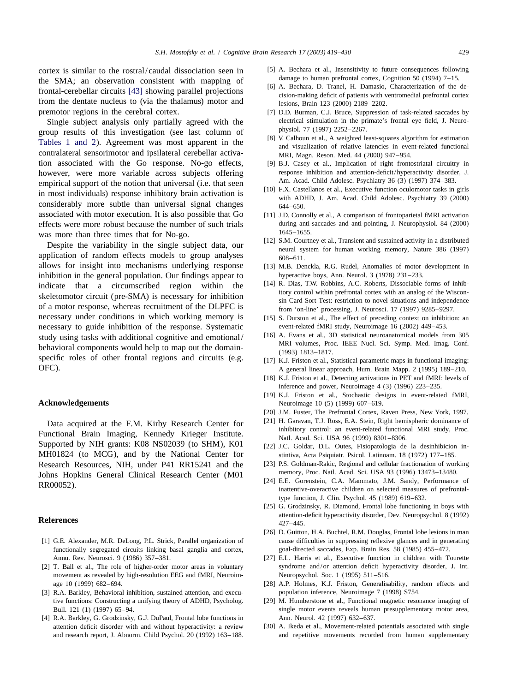the SMA; an observation consistent with mapping of<br>frontal-cerebellar circuits [\[43\]](#page-11-0) showing parallel projections<br>from the dentate nucleus to (via the thalamus) motor and<br>from the dentate nucleus to (via the thalamus) motor premotor regions in the cerebral cortex. [7] D.D. Burman, C.J. Bruce, Suppression of task-related saccades by

group results of this investigation (see last column of physiol. 1 (1991) 2252-2261.<br> [Tables 1](#page-5-0) [and 2](#page-5-0)). Agreement was most apparent in the [8] V. Calhoun et al., A weighted least-squares algorithm for estimation and visuali contralateral sensorimotor and ipsilateral cerebellar activa- MRI, Magn. Reson. Med. 44 (2000) 947–954. tion associated with the Go response. No-go effects, [9] B.J. Casey et al., Implication of right frontostriatal circuitry in however, were more variable across subjects offering response inhibition and attention-deficit/hyperactivity disorder, J. ammirical support of the notion that universal (i.e. that seen Am. Acad. Child Adolesc. Psychiatry 3 empirical support of the notion that universal (i.e. that seen<br>in most individuals) response inhibitory brain activation is<br>considerably more subtle than universal signal changes<br> $\begin{array}{c} \text{Am. Acad. Child Adolesc. Psychiatry } 36 (3) (1997) (374-383.$ associated with motor execution. It is also possible that Go [11] J.D. Connolly et al., A comparison of frontoparietal fMRI activation effects were more robust because the number of such trials during anti-saccades and anti-pointing, J. Neurophysiol. 84 (2000) was more than three times that for No-go 1645–1655. was more than three times that for No-go.<br>
Description is the sixed surface that the sixed surface of the surface of the surface of the surface of the surface of the surface of the surface of the surface of the surface of

allows for insight into mechanisms underlying response [13] M .B. Denckla, R.G. Rudel, Anomalies of motor development in inhibition in the general population. Our findings appear to hyperactive boys, Ann. Neurol. 3 (1978) 231–233.<br>
indicate that a circumscribed region within the [14] R. Dias, T.W. Robbins, A.C. Roberts, Dissociable forms of indicate that a circumscribed region within the [14] R. Dias, T.W. Robbins, A.C. Roberts, Dissociable forms of inhib-<br>skeletomotor circuit (pre-SMA) is necessary for inhibition<br>of a motor response, whereas recruitment of t necessary under conditions in which working memory is [15] S. Durston et al., The effect of preceding context on inhibition: an necessary to guide inhibition of the response. Systematic event-related fMRI study, Neuroimage 16 (2002) 449–453.<br>
study using tasks with additional cognitive and emotional (16) A. Evans et al., 3D statistical neuroanatomi study using tasks with additional cognitive and emotional/<br>behavioral components would help to map out the domain-<br>specific roles of other frontal regions and circuits (e.g. [17] K.J. Friston et al., Statistical parametric

Data acquired at the F.M. Kirby Research Center for [21] H. Garavan, T.J. Ross, E.A. Stein, Right hemispheric dominance of Functional Brain Imaging, Kennedy Krieger Institute.<br>Supported by NIH grants: K08 NS02039 (to SHM), MH01824 (to MCG), and by the National Center for stintiva, Acta Psiquiatr. Psicol. Latinoam. 18 (1972) 177–185. Research Resources, NIH, under P41 RR15241 and the [23] P.S. Goldman-Rakic, Regional and cellular fractionation of working<br>
Iohns Honkins General Clinical Research Center (M01 memory, Proc. Natl. Acad. Sci. USA 93 (1996) 1 Johns Hopkins General Clinical Research Center (M01 memory, Proc. Natl. Acad. Sci. USA 93 (1996) 13473-13480.<br>
[24] E.E. Gorenstein, C.A. Mammato, J.M. Sandy, Performance of inattentive-overactive children on selected meas

- functionally segregated circuits linking basal ganglia and cortex, goal-directed saccades, Exp. Brain Res. 58 (1985) 455–472.
- movement as revealed by high-resolution EEG and fMRI, Neuroim-<br>Neuropsychol. Soc. 1 (1995) 511-516.
- [3] R.A. Barkley, Behavioral inhibition, sustained attention, and execu-
- [4] R .A. Barkley, G. Grodzinsky, G.J. DuPaul, Frontal lobe functions in Ann. Neurol. 42 (1997) 632–637. attention deficit disorder with and without hyperactivity: a review [30] A . Ikeda et al., Movement-related potentials associated with single
- <span id="page-10-0"></span>cortex is similar to the rostral/caudal dissociation seen in [5] A. Bechara et al., Insensitivity to future consequences following<br>the  $SMA$ : an observation consistent with manning of damage to human prefrontal cortex, Cog
	-
	- Single subject analysis only partially agreed with the electrical stimulation in the primate's frontal eye field, J. Neuro-<br>
	oun results of this investigation (see last column of physiol. 77 (1997) 2252–2267.
		-
		-
		-
		-
- Despite the variability in the single subject data, our<br>application of random effects models to group analyses<br> $\frac{1}{2}$  5.3.4. Counting et al., Hansien and sustained activity in a distributed<br>neural system for human work
	-
	-
	-
	-
- OFC). A general linear approach, Hum. Brain Mapp. 2 (1995) 189–210.
	- [18] K.J. Friston et al., Detecting activations in PET and fMRI: levels of inference and power, Neuroimage 4 (3) (1996) 223–235.
- [19] K .J. Friston et al., Stochastic designs in event-related fMRI, **Acknowledgements** Neuroimage 10 (5) (1999) 607–619.
	- [20] J.M. Fuster, The Prefrontal Cortex, Raven Press, New York, 1997.
	-
	-
	-
	- type function, J. Clin. Psychol. 45 (1989) 619–632.
- [25] G. Grodzinsky, R. Diamond, Frontal lobe functioning in boys with attention-deficit hyperactivity disorder, Dev. Neuropsychol. 8 (1992) **References** 427–445.
- [26] D. Guitton, H.A. Buchtel, R.M. Douglas, Frontal lobe lesions in man [1] G .E. Alexander, M.R. DeLong, P.L. Strick, Parallel organization of cause difficulties in suppressing reflexive glances and in generating
- Annu. Rev. Neurosci. 9 (1986) 357-381. [27] E.L. Harris et al., Executive function in children with Tourette [2] T. Ball et al., The role of higher-order motor areas in voluntary syndrome and/or attention deficit hyperactivity disorder, J. Int.
	- age 10 (1999) 682–694. [28] A.P. Holmes, K.J. Friston, Generalisability, random effects and<br>R.A. Barkley, Behavioral inhibition, sustained attention, and execu-<br>population inference, Neuroimage 7 (1998) S754.
	- tive functions: Constructing a unifying theory of ADHD, Psycholog. [29] M. Humberstone et al., Functional magnetic resonance imaging of Bull. 121 (1) (1997) 65–94. Single motor events reveals human presupplementary motor area,
	- and research report, J. Abnorm. Child Psychol. 20 (1992) 163–188. and repetitive movements recorded from human supplementary